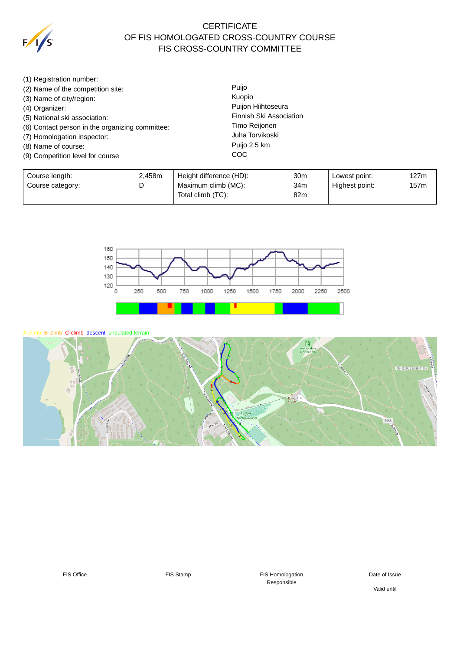

## **CERTIFICATE** OF FIS HOMOLOGATED CROSS-COUNTRY COURSE FIS CROSS-COUNTRY COMMITTEE

- (1) Registration number:
- (2) Name of the competition site:
- (3) Name of city/region:
- (4) Organizer:
- (5) National ski association:
- (6) Contact person in the organizing committee:
- (7) Homologation inspector:
- (8) Name of course:
- (9) Competition level for course

Puijo Kuopio Puijon Hiihtoseura Finnish Ski Association Timo Reijonen Juha Torvikoski Puijo 2.5 km **COC** 

| Course length:   | 2.458m | Height difference (HD):    | 30m | Lowest point:  | 127m |
|------------------|--------|----------------------------|-----|----------------|------|
| Course category: | ⋍      | Maximum climb (MC):<br>34m |     | Highest point: | 157m |
|                  |        | Total climb (TC):          | 82m |                |      |



A-climb B-climb C-climb descent undulated terrain



FIS Office FIS Stamp FIS Stamp FIS Homologation Responsible

Date of Issue

Valid until